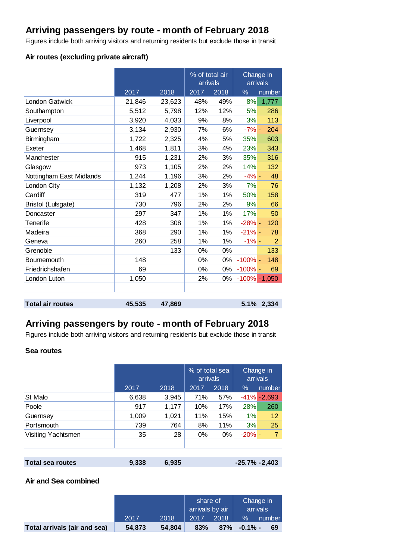# **Arriving passengers by route - month of February 2018**

Figures include both arriving visitors and returning residents but exclude those in transit

## **Air routes (excluding private aircraft)**

|                           |        |        | % of total air<br>arrivals |      | Change in<br>arrivals |                   |
|---------------------------|--------|--------|----------------------------|------|-----------------------|-------------------|
|                           | 2017   | 2018   | 2017                       | 2018 | %                     | number            |
| <b>London Gatwick</b>     | 21,846 | 23,623 | 48%                        | 49%  | 8%                    | 1,777             |
| Southampton               | 5,512  | 5,798  | 12%                        | 12%  | 5%                    | 286               |
| Liverpool                 | 3,920  | 4,033  | 9%                         | 8%   | 3%                    | 113               |
| Guernsey                  | 3,134  | 2,930  | 7%                         | 6%   | $-7% -$               | 204               |
| Birmingham                | 1,722  | 2,325  | 4%                         | 5%   | 35%                   | 603               |
| Exeter                    | 1,468  | 1,811  | 3%                         | 4%   | 23%                   | 343               |
| Manchester                | 915    | 1,231  | 2%                         | 3%   | 35%                   | 316               |
| Glasgow                   | 973    | 1,105  | 2%                         | 2%   | 14%                   | 132               |
| Nottingham East Midlands  | 1,244  | 1,196  | 3%                         | 2%   | $-4% -$               | 48                |
| London City               | 1,132  | 1,208  | 2%                         | 3%   | 7%                    | 76                |
| Cardiff                   | 319    | 477    | 1%                         | 1%   | 50%                   | 158               |
| <b>Bristol (Lulsgate)</b> | 730    | 796    | 2%                         | 2%   | 9%                    | 66                |
| Doncaster                 | 297    | 347    | 1%                         | 1%   | 17%                   | 50                |
| Tenerife                  | 428    | 308    | 1%                         | 1%   | $-28%$ -              | 120               |
| Madeira                   | 368    | 290    | 1%                         | 1%   | $-21% -$              | 78                |
| Geneva                    | 260    | 258    | 1%                         | 1%   | $-1\%$ -              | $\overline{2}$    |
| Grenoble                  |        | 133    | 0%                         | 0%   |                       | 133               |
| Bournemouth               | 148    |        | 0%                         | 0%   | $-100%$ -             | 148               |
| Friedrichshafen           | 69     |        | 0%                         | 0%   | $-100\%$ -            | 69                |
| London Luton              | 1,050  |        | 2%                         | 0%   |                       | $-100\%$ $-1,050$ |
|                           |        |        |                            |      |                       |                   |
| <b>Total air routes</b>   |        |        |                            |      |                       |                   |
|                           | 45,535 | 47,869 |                            |      |                       | 5.1% 2,334        |

## **Arriving passengers by route - month of February 2018**

Figures include both arriving visitors and returning residents but exclude those in transit

### **Sea routes**

|                    |       |       | % of total sea<br>arrivals |      |          | Change in<br>arrivals |
|--------------------|-------|-------|----------------------------|------|----------|-----------------------|
|                    | 2017  | 2018  | 2017                       | 2018 | $\%$     | number                |
| St Malo            | 6,638 | 3,945 | 71%                        | 57%  |          | $-41\% - 2,693$       |
| Poole              | 917   | 1,177 | 10%                        | 17%  | 28%      | 260                   |
| Guernsey           | 1,009 | 1,021 | 11%                        | 15%  | 1%       | 12                    |
| Portsmouth         | 739   | 764   | 8%                         | 11%  | 3%       | 25                    |
| Visiting Yachtsmen | 35    | 28    | 0%                         | 0%   | $-20% -$ | 7                     |
|                    |       |       |                            |      |          |                       |
|                    |       |       |                            |      |          |                       |
|                    |       |       |                            |      |          |                       |

| Total sea routes | 9,338 | 6,935 | $-25.7\% -2,403$ |
|------------------|-------|-------|------------------|
|                  |       |       |                  |

### **Air and Sea combined**

|                              |        |        | share of<br>arrivals by air |      | Change in<br>arrivals |        |
|------------------------------|--------|--------|-----------------------------|------|-----------------------|--------|
|                              | 2017   | 2018   | 2017                        | 2018 | $\%$                  | number |
| Total arrivals (air and sea) | 54,873 | 54.804 | 83%                         | 87%  | $-0.1\%$ -            | 69 l   |